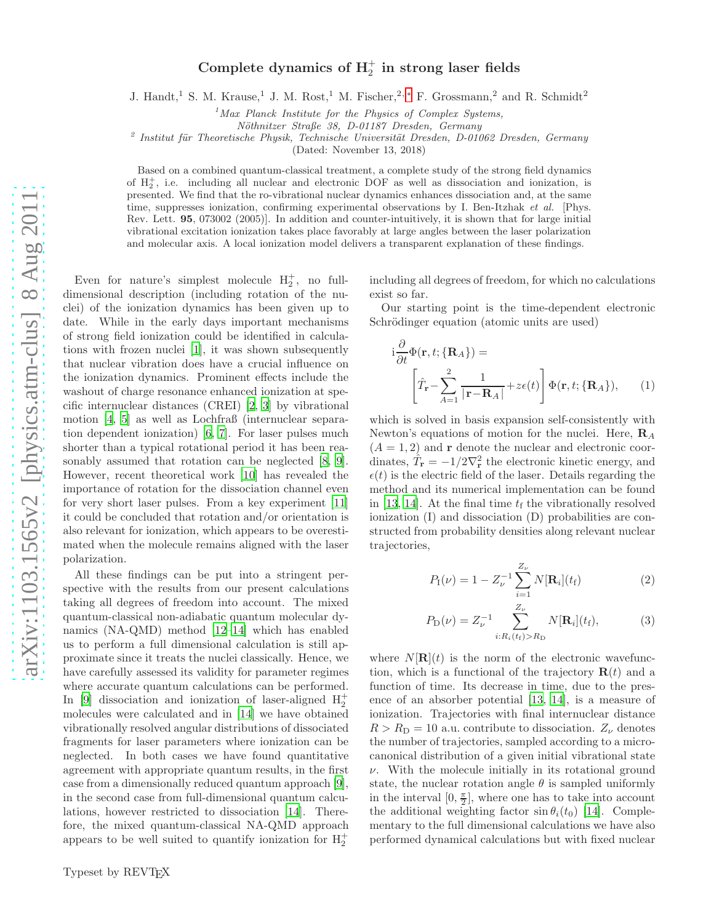## Complete dynamics of  $H_2^+$  in strong laser fields

J. Handt,<sup>1</sup> S. M. Krause,<sup>1</sup> J. M. Rost,<sup>1</sup> M. Fischer,<sup>2,\*</sup> F. Grossmann,<sup>2</sup> and R. Schmidt<sup>2</sup>

 $1$ Max Planck Institute for the Physics of Complex Systems,

Nöthnitzer Straße 38, D-01187 Dresden, Germany

<sup>2</sup> Institut für Theoretische Physik, Technische Universität Dresden, D-01062 Dresden, Germany

(Dated: November 13, 2018)

Based on a combined quantum-classical treatment, a complete study of the strong field dynamics of  $H_2^+$ , i.e. including all nuclear and electronic DOF as well as dissociation and ionization, is presented. We find that the ro-vibrational nuclear dynamics enhances dissociation and, at the same time, suppresses ionization, confirming experimental observations by I. Ben-Itzhak et al. [Phys.] Rev. Lett. 95, 073002 (2005)]. In addition and counter-intuitively, it is shown that for large initial vibrational excitation ionization takes place favorably at large angles between the laser polarization and molecular axis. A local ionization model delivers a transparent explanation of these findings.

Even for nature's simplest molecule  $H_2^+$ , no fulldimensional description (including rotation of the nuclei) of the ionization dynamics has been given up to date. While in the early days important mechanisms of strong field ionization could be identified in calculations with frozen nuclei [\[1\]](#page-3-1), it was shown subsequently that nuclear vibration does have a crucial influence on the ionization dynamics. Prominent effects include the washout of charge resonance enhanced ionization at specific internuclear distances (CREI) [\[2,](#page-3-2) [3](#page-3-3)] by vibrational motion [\[4,](#page-3-4) [5](#page-3-5)] as well as Lochfraß (internuclear separation dependent ionization) [\[6](#page-3-6), [7\]](#page-3-7). For laser pulses much shorter than a typical rotational period it has been reasonably assumed that rotation can be neglected [\[8](#page-3-8), [9\]](#page-3-9). However, recent theoretical work [\[10\]](#page-3-10) has revealed the importance of rotation for the dissociation channel even for very short laser pulses. From a key experiment [\[11](#page-3-11)] it could be concluded that rotation and/or orientation is also relevant for ionization, which appears to be overestimated when the molecule remains aligned with the laser polarization.

All these findings can be put into a stringent perspective with the results from our present calculations taking all degrees of freedom into account. The mixed quantum-classical non-adiabatic quantum molecular dynamics (NA-QMD) method [\[12](#page-3-12)[–14](#page-3-13)] which has enabled us to perform a full dimensional calculation is still approximate since it treats the nuclei classically. Hence, we have carefully assessed its validity for parameter regimes where accurate quantum calculations can be performed. In [\[9\]](#page-3-9) dissociation and ionization of laser-aligned  $H_2^+$ molecules were calculated and in [\[14\]](#page-3-13) we have obtained vibrationally resolved angular distributions of dissociated fragments for laser parameters where ionization can be neglected. In both cases we have found quantitative agreement with appropriate quantum results, in the first case from a dimensionally reduced quantum approach [\[9\]](#page-3-9), in the second case from full-dimensional quantum calculations, however restricted to dissociation [\[14\]](#page-3-13). Therefore, the mixed quantum-classical NA-QMD approach appears to be well suited to quantify ionization for  $H_2^+$ 

including all degrees of freedom, for which no calculations exist so far.

Our starting point is the time-dependent electronic Schrödinger equation (atomic units are used)

$$
i\frac{\partial}{\partial t}\Phi(\mathbf{r},t;\{\mathbf{R}_A\}) = \left[\hat{T}_\mathbf{r} - \sum_{A=1}^2 \frac{1}{|\mathbf{r} - \mathbf{R}_A|} + z\epsilon(t)\right] \Phi(\mathbf{r},t;\{\mathbf{R}_A\}), \quad (1)
$$

which is solved in basis expansion self-consistently with Newton's equations of motion for the nuclei. Here,  $\mathbf{R}_{A}$  $(A = 1, 2)$  and **r** denote the nuclear and electronic coordinates,  $\hat{T}_{\mathbf{r}} = -1/2\nabla_{\mathbf{r}}^2$  the electronic kinetic energy, and  $\epsilon(t)$  is the electric field of the laser. Details regarding the method and its numerical implementation can be found in [\[13](#page-3-14), [14\]](#page-3-13). At the final time  $t_f$  the vibrationally resolved ionization (I) and dissociation (D) probabilities are constructed from probability densities along relevant nuclear trajectories,

$$
P_{\rm I}(\nu) = 1 - Z_{\nu}^{-1} \sum_{i=1}^{Z_{\nu}} N[\mathbf{R}_i](t_{\rm f}) \tag{2}
$$

$$
P_{\mathcal{D}}(\nu) = Z_{\nu}^{-1} \sum_{i: R_i(t_f) > R_{\mathcal{D}}}^{Z_{\nu}} N[\mathbf{R}_i](t_f), \tag{3}
$$

where  $N[\mathbf{R}](t)$  is the norm of the electronic wavefunction, which is a functional of the trajectory  $\mathbf{R}(t)$  and a function of time. Its decrease in time, due to the presence of an absorber potential [\[13,](#page-3-14) [14\]](#page-3-13), is a measure of ionization. Trajectories with final internuclear distance  $R > R<sub>D</sub> = 10$  a.u. contribute to dissociation.  $Z_{\nu}$  denotes the number of trajectories, sampled according to a microcanonical distribution of a given initial vibrational state  $\nu$ . With the molecule initially in its rotational ground state, the nuclear rotation angle  $\theta$  is sampled uniformly in the interval  $[0, \frac{\pi}{2}]$  $\frac{\pi}{2}$ , where one has to take into account the additional weighting factor  $\sin \theta_i(t_0)$  [\[14\]](#page-3-13). Complementary to the full dimensional calculations we have also performed dynamical calculations but with fixed nuclear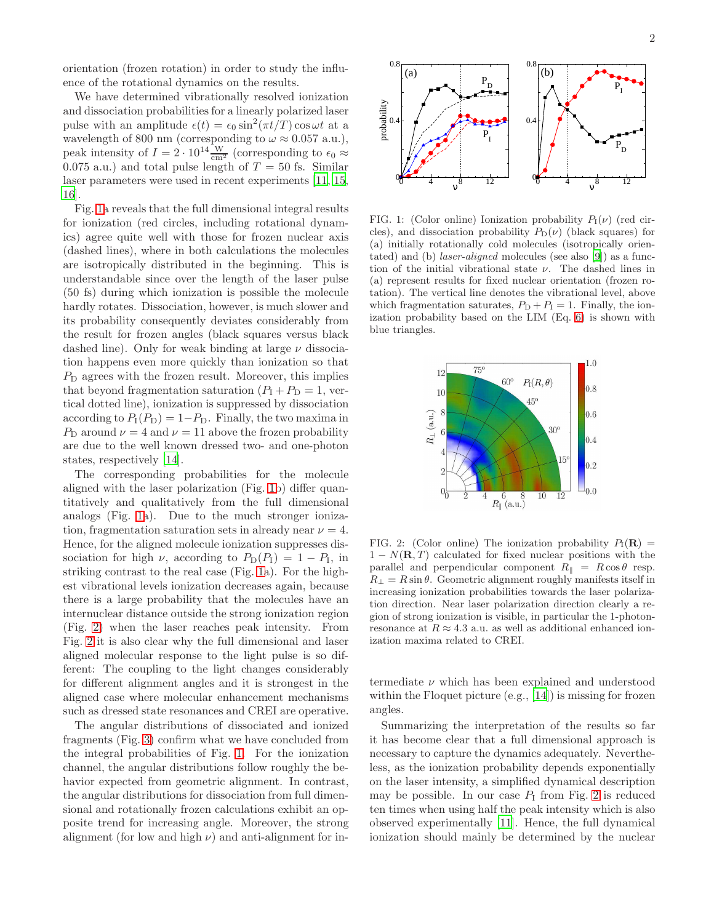orientation (frozen rotation) in order to study the influence of the rotational dynamics on the results.

We have determined vibrationally resolved ionization and dissociation probabilities for a linearly polarized laser pulse with an amplitude  $\epsilon(t) = \epsilon_0 \sin^2(\pi t/T) \cos \omega t$  at a wavelength of 800 nm (corresponding to  $\omega \approx 0.057$  a.u.), peak intensity of  $I = 2 \cdot 10^{14} \frac{\text{W}}{\text{cm}^2}$  (corresponding to  $\epsilon_0 \approx$ 0.075 a.u.) and total pulse length of  $T = 50$  fs. Similar laser parameters were used in recent experiments [\[11,](#page-3-11) [15](#page-3-15), [16\]](#page-3-16).

Fig. [1a](#page-1-0) reveals that the full dimensional integral results for ionization (red circles, including rotational dynamics) agree quite well with those for frozen nuclear axis (dashed lines), where in both calculations the molecules are isotropically distributed in the beginning. This is understandable since over the length of the laser pulse (50 fs) during which ionization is possible the molecule hardly rotates. Dissociation, however, is much slower and its probability consequently deviates considerably from the result for frozen angles (black squares versus black dashed line). Only for weak binding at large  $\nu$  dissociation happens even more quickly than ionization so that  $P<sub>D</sub>$  agrees with the frozen result. Moreover, this implies that beyond fragmentation saturation  $(P_1 + P_2) = 1$ , vertical dotted line), ionization is suppressed by dissociation according to  $P_I(P_D) = 1-P_D$ . Finally, the two maxima in  $P_D$  around  $\nu = 4$  and  $\nu = 11$  above the frozen probability are due to the well known dressed two- and one-photon states, respectively [\[14](#page-3-13)].

The corresponding probabilities for the molecule aligned with the laser polarization (Fig. [1b](#page-1-0)) differ quantitatively and qualitatively from the full dimensional analogs (Fig. [1a](#page-1-0)). Due to the much stronger ionization, fragmentation saturation sets in already near  $\nu = 4$ . Hence, for the aligned molecule ionization suppresses dissociation for high  $\nu$ , according to  $P_D(P_I) = 1 - P_I$ , in striking contrast to the real case (Fig. [1a](#page-1-0)). For the highest vibrational levels ionization decreases again, because there is a large probability that the molecules have an internuclear distance outside the strong ionization region (Fig. [2\)](#page-1-1) when the laser reaches peak intensity. From Fig. [2](#page-1-1) it is also clear why the full dimensional and laser aligned molecular response to the light pulse is so different: The coupling to the light changes considerably for different alignment angles and it is strongest in the aligned case where molecular enhancement mechanisms such as dressed state resonances and CREI are operative.

The angular distributions of dissociated and ionized fragments (Fig. [3\)](#page-2-0) confirm what we have concluded from the integral probabilities of Fig. [1.](#page-1-0) For the ionization channel, the angular distributions follow roughly the behavior expected from geometric alignment. In contrast, the angular distributions for dissociation from full dimensional and rotationally frozen calculations exhibit an opposite trend for increasing angle. Moreover, the strong alignment (for low and high  $\nu$ ) and anti-alignment for in-



<span id="page-1-0"></span>FIG. 1: (Color online) Ionization probability  $P_1(\nu)$  (red circles), and dissociation probability  $P_D(\nu)$  (black squares) for (a) initially rotationally cold molecules (isotropically orientated) and (b) laser-aligned molecules (see also [\[9\]](#page-3-9)) as a function of the initial vibrational state  $\nu$ . The dashed lines in (a) represent results for fixed nuclear orientation (frozen rotation). The vertical line denotes the vibrational level, above which fragmentation saturates,  $P_D + P_I = 1$ . Finally, the ionization probability based on the LIM (Eq. [6\)](#page-2-1) is shown with blue triangles.



<span id="page-1-1"></span>FIG. 2: (Color online) The ionization probability  $P_1(\mathbf{R}) =$  $1 - N(\mathbf{R}, T)$  calculated for fixed nuclear positions with the parallel and perpendicular component  $R_{\parallel} = R \cos \theta$  resp.  $R_{\perp} = R \sin \theta$ . Geometric alignment roughly manifests itself in increasing ionization probabilities towards the laser polarization direction. Near laser polarization direction clearly a region of strong ionization is visible, in particular the 1-photonresonance at  $R \approx 4.3$  a.u. as well as additional enhanced ionization maxima related to CREI.

termediate  $\nu$  which has been explained and understood within the Floquet picture (e.g., [\[14\]](#page-3-13)) is missing for frozen angles.

Summarizing the interpretation of the results so far it has become clear that a full dimensional approach is necessary to capture the dynamics adequately. Nevertheless, as the ionization probability depends exponentially on the laser intensity, a simplified dynamical description may be possible. In our case  $P_1$  from Fig. [2](#page-1-1) is reduced ten times when using half the peak intensity which is also observed experimentally [\[11\]](#page-3-11). Hence, the full dynamical ionization should mainly be determined by the nuclear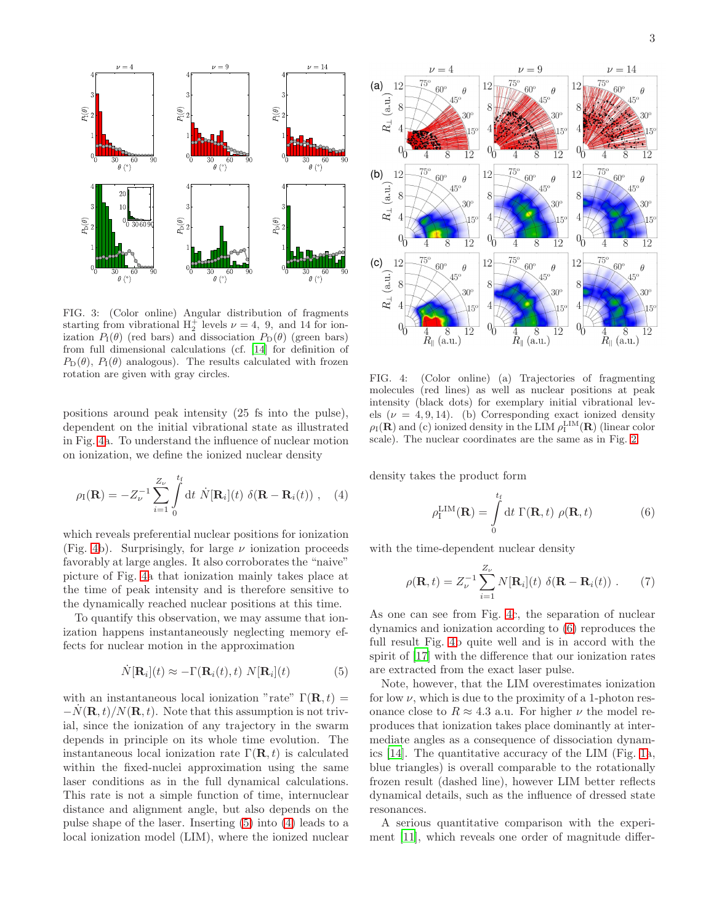

<span id="page-2-0"></span>FIG. 3: (Color online) Angular distribution of fragments starting from vibrational  $H_2^+$  levels  $\nu = 4$ , 9, and 14 for ionization  $P_1(\theta)$  (red bars) and dissociation  $P_D(\theta)$  (green bars) from full dimensional calculations (cf. [\[14](#page-3-13)] for definition of  $P_{\text{D}}(\theta)$ ,  $P_{\text{I}}(\theta)$  analogous). The results calculated with frozen rotation are given with gray circles.

positions around peak intensity (25 fs into the pulse), dependent on the initial vibrational state as illustrated in Fig. [4a](#page-2-2). To understand the influence of nuclear motion on ionization, we define the ionized nuclear density

$$
\rho_{\rm I}(\mathbf{R}) = -Z_{\nu}^{-1} \sum_{i=1}^{Z_{\nu}} \int_{0}^{t_{\rm f}} dt \ \dot{N}[\mathbf{R}_i](t) \ \delta(\mathbf{R} - \mathbf{R}_i(t)) \ , \quad (4)
$$

which reveals preferential nuclear positions for ionization (Fig. [4b](#page-2-2)). Surprisingly, for large  $\nu$  ionization proceeds favorably at large angles. It also corroborates the "naive" picture of Fig. [4a](#page-2-2) that ionization mainly takes place at the time of peak intensity and is therefore sensitive to the dynamically reached nuclear positions at this time.

To quantify this observation, we may assume that ionization happens instantaneously neglecting memory effects for nuclear motion in the approximation

$$
\dot{N}[\mathbf{R}_i](t) \approx -\Gamma(\mathbf{R}_i(t), t) N[\mathbf{R}_i](t) \tag{5}
$$

with an instantaneous local ionization "rate"  $\Gamma(\mathbf{R}, t) =$  $-N(\mathbf{R}, t)/N(\mathbf{R}, t)$ . Note that this assumption is not trivial, since the ionization of any trajectory in the swarm depends in principle on its whole time evolution. The instantaneous local ionization rate  $\Gamma(\mathbf{R}, t)$  is calculated within the fixed-nuclei approximation using the same laser conditions as in the full dynamical calculations. This rate is not a simple function of time, internuclear distance and alignment angle, but also depends on the pulse shape of the laser. Inserting [\(5\)](#page-2-3) into [\(4\)](#page-2-4) leads to a local ionization model (LIM), where the ionized nuclear



<span id="page-2-2"></span>FIG. 4: (Color online) (a) Trajectories of fragmenting molecules (red lines) as well as nuclear positions at peak intensity (black dots) for exemplary initial vibrational levels ( $\nu = 4, 9, 14$ ). (b) Corresponding exact ionized density  $\rho_I(\mathbf{R})$  and (c) ionized density in the LIM  $\rho_I^{\text{LIM}}(\mathbf{R})$  (linear color scale). The nuclear coordinates are the same as in Fig. [2.](#page-1-1)

<span id="page-2-4"></span>density takes the product form

<span id="page-2-1"></span>
$$
\rho_{\mathbf{I}}^{\text{LIM}}(\mathbf{R}) = \int_{0}^{t_{\mathbf{f}}} dt \ \Gamma(\mathbf{R}, t) \ \rho(\mathbf{R}, t) \tag{6}
$$

with the time-dependent nuclear density

$$
\rho(\mathbf{R},t) = Z_{\nu}^{-1} \sum_{i=1}^{Z_{\nu}} N[\mathbf{R}_i](t) \ \delta(\mathbf{R} - \mathbf{R}_i(t)) \ . \tag{7}
$$

As one can see from Fig. [4c](#page-2-2), the separation of nuclear dynamics and ionization according to [\(6\)](#page-2-1) reproduces the full result Fig. [4b](#page-2-2) quite well and is in accord with the spirit of [\[17\]](#page-3-17) with the difference that our ionization rates are extracted from the exact laser pulse.

<span id="page-2-3"></span>Note, however, that the LIM overestimates ionization for low  $\nu$ , which is due to the proximity of a 1-photon resonance close to  $R \approx 4.3$  a.u. For higher  $\nu$  the model reproduces that ionization takes place dominantly at intermediate angles as a consequence of dissociation dynamics [\[14\]](#page-3-13). The quantitative accuracy of the LIM (Fig. [1a](#page-1-0), blue triangles) is overall comparable to the rotationally frozen result (dashed line), however LIM better reflects dynamical details, such as the influence of dressed state resonances.

A serious quantitative comparison with the experiment [\[11\]](#page-3-11), which reveals one order of magnitude differ-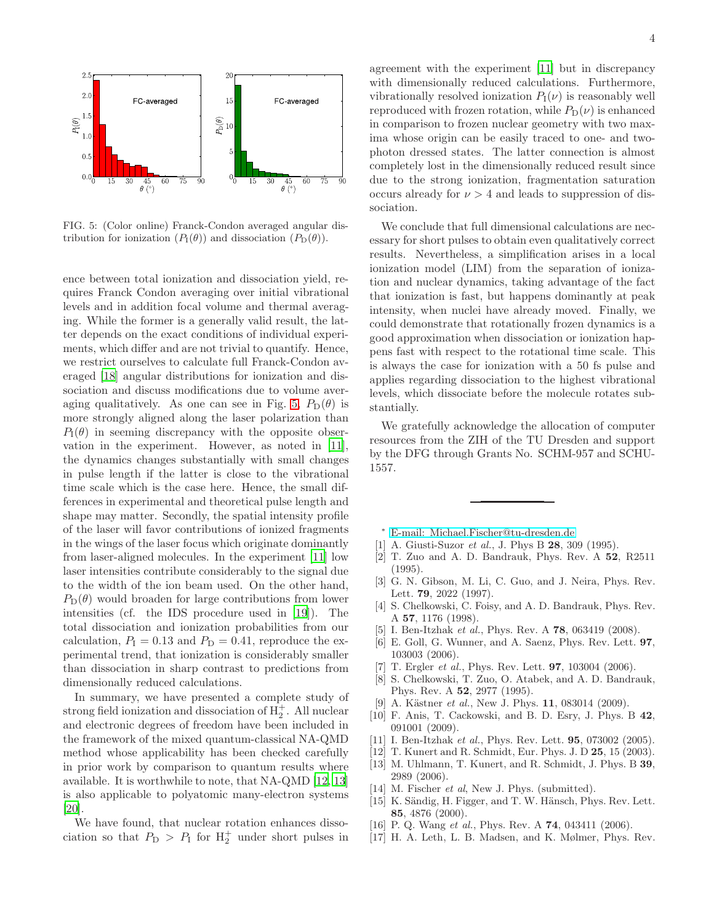

<span id="page-3-18"></span>FIG. 5: (Color online) Franck-Condon averaged angular distribution for ionization  $(P_1(\theta))$  and dissociation  $(P_D(\theta))$ .

ence between total ionization and dissociation yield, requires Franck Condon averaging over initial vibrational levels and in addition focal volume and thermal averaging. While the former is a generally valid result, the latter depends on the exact conditions of individual experiments, which differ and are not trivial to quantify. Hence, we restrict ourselves to calculate full Franck-Condon averaged [\[18\]](#page-4-0) angular distributions for ionization and dissociation and discuss modifications due to volume aver-aging qualitatively. As one can see in Fig. [5,](#page-3-18)  $P_D(\theta)$  is more strongly aligned along the laser polarization than  $P_1(\theta)$  in seeming discrepancy with the opposite observation in the experiment. However, as noted in [\[11\]](#page-3-11), the dynamics changes substantially with small changes in pulse length if the latter is close to the vibrational time scale which is the case here. Hence, the small differences in experimental and theoretical pulse length and shape may matter. Secondly, the spatial intensity profile of the laser will favor contributions of ionized fragments in the wings of the laser focus which originate dominantly from laser-aligned molecules. In the experiment [\[11](#page-3-11)] low laser intensities contribute considerably to the signal due to the width of the ion beam used. On the other hand,  $P_{\text{D}}(\theta)$  would broaden for large contributions from lower intensities (cf. the IDS procedure used in [\[19\]](#page-4-1)). The total dissociation and ionization probabilities from our calculation,  $P_{\rm I} = 0.13$  and  $P_{\rm D} = 0.41$ , reproduce the experimental trend, that ionization is considerably smaller than dissociation in sharp contrast to predictions from dimensionally reduced calculations.

In summary, we have presented a complete study of strong field ionization and dissociation of  $H_2^+$ . All nuclear and electronic degrees of freedom have been included in the framework of the mixed quantum-classical NA-QMD method whose applicability has been checked carefully in prior work by comparison to quantum results where available. It is worthwhile to note, that NA-QMD [\[12](#page-3-12), [13](#page-3-14)] is also applicable to polyatomic many-electron systems [\[20\]](#page-4-2).

We have found, that nuclear rotation enhances dissociation so that  $P_{\text{D}} > P_{\text{I}}$  for  $H_2^+$  under short pulses in

4

agreement with the experiment [\[11\]](#page-3-11) but in discrepancy with dimensionally reduced calculations. Furthermore, vibrationally resolved ionization  $P_I(\nu)$  is reasonably well reproduced with frozen rotation, while  $P_D(\nu)$  is enhanced in comparison to frozen nuclear geometry with two maxima whose origin can be easily traced to one- and twophoton dressed states. The latter connection is almost completely lost in the dimensionally reduced result since due to the strong ionization, fragmentation saturation occurs already for  $\nu > 4$  and leads to suppression of dissociation.

We conclude that full dimensional calculations are necessary for short pulses to obtain even qualitatively correct results. Nevertheless, a simplification arises in a local ionization model (LIM) from the separation of ionization and nuclear dynamics, taking advantage of the fact that ionization is fast, but happens dominantly at peak intensity, when nuclei have already moved. Finally, we could demonstrate that rotationally frozen dynamics is a good approximation when dissociation or ionization happens fast with respect to the rotational time scale. This is always the case for ionization with a 50 fs pulse and applies regarding dissociation to the highest vibrational levels, which dissociate before the molecule rotates substantially.

We gratefully acknowledge the allocation of computer resources from the ZIH of the TU Dresden and support by the DFG through Grants No. SCHM-957 and SCHU-1557.

- <sup>∗</sup> [E-mail: Michael.Fischer@tu-dresden.de](mailto:E-mail: Michael.Fischer@tu-dresden.de)
- <span id="page-3-1"></span><span id="page-3-0"></span>[1] A. Giusti-Suzor et al., J. Phys B 28, 309 (1995).
- <span id="page-3-2"></span>[2] T. Zuo and A. D. Bandrauk, Phys. Rev. A 52, R2511 (1995).
- <span id="page-3-3"></span>[3] G. N. Gibson, M. Li, C. Guo, and J. Neira, Phys. Rev. Lett. 79, 2022 (1997).
- <span id="page-3-4"></span>[4] S. Chelkowski, C. Foisy, and A. D. Bandrauk, Phys. Rev. A 57, 1176 (1998).
- <span id="page-3-5"></span>[5] I. Ben-Itzhak et al., Phys. Rev. A 78, 063419 (2008).
- <span id="page-3-6"></span>[6] E. Goll, G. Wunner, and A. Saenz, Phys. Rev. Lett. 97, 103003 (2006).
- <span id="page-3-7"></span>[7] T. Ergler et al., Phys. Rev. Lett. **97**, 103004 (2006).
- <span id="page-3-8"></span>[8] S. Chelkowski, T. Zuo, O. Atabek, and A. D. Bandrauk, Phys. Rev. A 52, 2977 (1995).
- <span id="page-3-9"></span>[9] A. Kästner *et al.*, New J. Phys. **11**, 083014 (2009).
- <span id="page-3-10"></span>[10] F. Anis, T. Cackowski, and B. D. Esry, J. Phys. B 42, 091001 (2009).
- <span id="page-3-11"></span>[11] I. Ben-Itzhak et al., Phys. Rev. Lett. **95**, 073002 (2005).
- <span id="page-3-12"></span>[12] T. Kunert and R. Schmidt, Eur. Phys. J. D **25**, 15 (2003).
- <span id="page-3-14"></span>[13] M. Uhlmann, T. Kunert, and R. Schmidt, J. Phys. B 39, 2989 (2006).
- <span id="page-3-13"></span>[14] M. Fischer et al, New J. Phys. (submitted).
- <span id="page-3-15"></span>[15] K. Sändig, H. Figger, and T. W. Hänsch, Phys. Rev. Lett. 85, 4876 (2000).
- <span id="page-3-16"></span>[16] P. Q. Wang et al., Phys. Rev. A **74**, 043411 (2006).
- <span id="page-3-17"></span>[17] H. A. Leth, L. B. Madsen, and K. Mølmer, Phys. Rev.